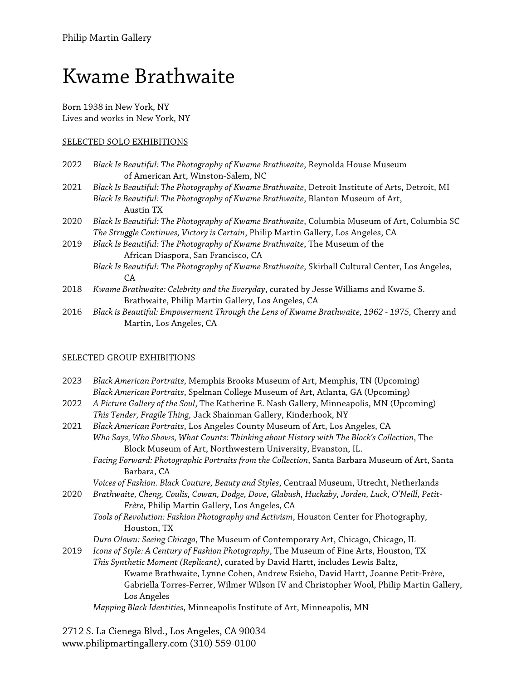# Kwame Brathwaite

Born 1938 in New York, NY Lives and works in New York, NY

## SELECTED SOLO EXHIBITIONS

- 2022 *Black Is Beautiful: The Photography of Kwame Brathwaite*, Reynolda House Museum of American Art, Winston-Salem, NC
- 2021 *Black Is Beautiful: The Photography of Kwame Brathwaite*, Detroit Institute of Arts, Detroit, MI *Black Is Beautiful: The Photography of Kwame Brathwaite*, Blanton Museum of Art, Austin TX
- 2020 *Black Is Beautiful: The Photography of Kwame Brathwaite*, Columbia Museum of Art, Columbia SC *The Struggle Continues, Victory is Certain*, Philip Martin Gallery, Los Angeles, CA
- 2019 *Black Is Beautiful: The Photography of Kwame Brathwaite*, The Museum of the African Diaspora, San Francisco, CA
	- *Black Is Beautiful: The Photography of Kwame Brathwaite*, Skirball Cultural Center, Los Angeles, CA
- 2018 *Kwame Brathwaite: Celebrity and the Everyday*, curated by Jesse Williams and Kwame S. Brathwaite, Philip Martin Gallery, Los Angeles, CA
- 2016 *Black is Beautiful: Empowerment Through the Lens of Kwame Brathwaite, 1962 - 1975,* Cherry and Martin, Los Angeles, CA

## SELECTED GROUP EXHIBITIONS

| 2023 | Black American Portraits, Memphis Brooks Museum of Art, Memphis, TN (Upcoming)<br>Black American Portraits, Spelman College Museum of Art, Atlanta, GA (Upcoming) |
|------|-------------------------------------------------------------------------------------------------------------------------------------------------------------------|
| 2022 | A Picture Gallery of the Soul, The Katherine E. Nash Gallery, Minneapolis, MN (Upcoming)<br>This Tender, Fragile Thing, Jack Shainman Gallery, Kinderhook, NY     |
| 2021 | Black American Portraits, Los Angeles County Museum of Art, Los Angeles, CA                                                                                       |
|      | Who Says, Who Shows, What Counts: Thinking about History with The Block's Collection, The                                                                         |
|      | Block Museum of Art, Northwestern University, Evanston, IL.                                                                                                       |
|      | Facing Forward: Photographic Portraits from the Collection, Santa Barbara Museum of Art, Santa                                                                    |
|      | Barbara, CA                                                                                                                                                       |
|      | Voices of Fashion. Black Couture, Beauty and Styles, Centraal Museum, Utrecht, Netherlands                                                                        |
| 2020 | Brathwaite, Cheng, Coulis, Cowan, Dodge, Dove, Glabush, Huckaby, Jorden, Luck, O'Neill, Petit-                                                                    |
|      | Frère, Philip Martin Gallery, Los Angeles, CA                                                                                                                     |
|      | Tools of Revolution: Fashion Photography and Activism, Houston Center for Photography,                                                                            |
|      | Houston, TX                                                                                                                                                       |
|      | Duro Olowu: Seeing Chicago, The Museum of Contemporary Art, Chicago, Chicago, IL                                                                                  |
| 2019 | Icons of Style: A Century of Fashion Photography, The Museum of Fine Arts, Houston, TX                                                                            |
|      | This Synthetic Moment (Replicant), curated by David Hartt, includes Lewis Baltz,                                                                                  |
|      | Kwame Brathwaite, Lynne Cohen, Andrew Esiebo, David Hartt, Joanne Petit-Frère,                                                                                    |
|      | Gabriella Torres-Ferrer, Wilmer Wilson IV and Christopher Wool, Philip Martin Gallery,                                                                            |
|      | Los Angeles                                                                                                                                                       |
|      | Mapping Black Identities, Minneapolis Institute of Art, Minneapolis, MN                                                                                           |
|      |                                                                                                                                                                   |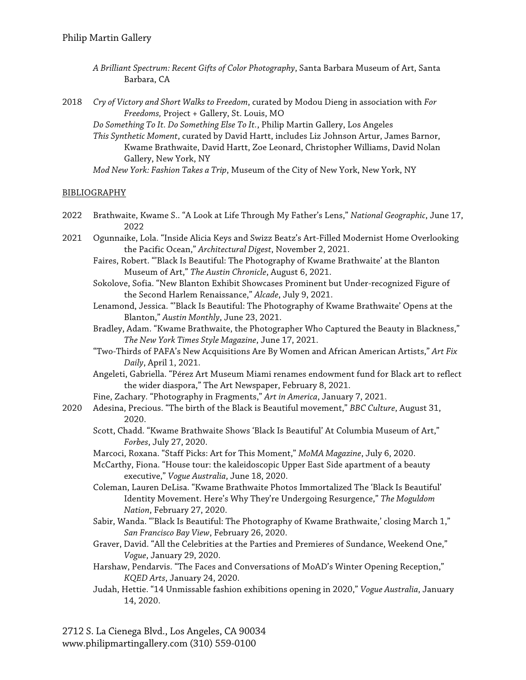- *A Brilliant Spectrum: Recent Gifts of Color Photography*, Santa Barbara Museum of Art, Santa Barbara, CA
- 2018 *Cry of Victory and Short Walks to Freedom*, curated by Modou Dieng in association with *For Freedoms,* Project + Gallery, St. Louis, MO
	- *Do Something To It. Do Something Else To It.*, Philip Martin Gallery, Los Angeles
	- *This Synthetic Moment*, curated by David Hartt, includes Liz Johnson Artur, James Barnor, Kwame Brathwaite, David Hartt, Zoe Leonard, Christopher Williams, David Nolan Gallery, New York, NY
	- *Mod New York: Fashion Takes a Trip*, Museum of the City of New York, New York, NY

#### BIBLIOGRAPHY

- 2022 Brathwaite, Kwame S.. "A Look at Life Through My Father's Lens," *National Geographic*, June 17, 2022
- 2021 Ogunnaike, Lola. "Inside Alicia Keys and Swizz Beatz's Art-Filled Modernist Home Overlooking the Pacific Ocean," *Architectural Digest*, November 2, 2021.
	- Faires, Robert. "'Black Is Beautiful: The Photography of Kwame Brathwaite' at the Blanton Museum of Art," *The Austin Chronicle*, August 6, 2021.
	- Sokolove, Sofia. "New Blanton Exhibit Showcases Prominent but Under-recognized Figure of the Second Harlem Renaissance," *Alcade*, July 9, 2021.
	- Lenamond, Jessica. "'Black Is Beautiful: The Photography of Kwame Brathwaite' Opens at the Blanton," *Austin Monthly*, June 23, 2021.
	- Bradley, Adam. "Kwame Brathwaite, the Photographer Who Captured the Beauty in Blackness," *The New York Times Style Magazine*, June 17, 2021.
	- "Two-Thirds of PAFA's New Acquisitions Are By Women and African American Artists," *Art Fix Daily*, April 1, 2021.
	- Angeleti, Gabriella. "Pérez Art Museum Miami renames endowment fund for Black art to reflect the wider diaspora," The Art Newspaper, February 8, 2021.
	- Fine, Zachary. "Photography in Fragments," *Art in America*, January 7, 2021.
- 2020 Adesina, Precious. "The birth of the Black is Beautiful movement," *BBC Culture*, August 31, 2020.
	- Scott, Chadd. "Kwame Brathwaite Shows 'Black Is Beautiful' At Columbia Museum of Art," *Forbes*, July 27, 2020.
	- Marcoci, Roxana. "Staff Picks: Art for This Moment," *MoMA Magazine*, July 6, 2020.
	- McCarthy, Fiona. "House tour: the kaleidoscopic Upper East Side apartment of a beauty executive," *Vogue Australia*, June 18, 2020.
	- Coleman, Lauren DeLisa. "Kwame Brathwaite Photos Immortalized The 'Black Is Beautiful' Identity Movement. Here's Why They're Undergoing Resurgence," *The Moguldom Nation*, February 27, 2020.
	- Sabir, Wanda. "'Black Is Beautiful: The Photography of Kwame Brathwaite,' closing March 1," *San Francisco Bay View*, February 26, 2020.
	- Graver, David. "All the Celebrities at the Parties and Premieres of Sundance, Weekend One," *Vogue*, January 29, 2020.
	- Harshaw, Pendarvis. "The Faces and Conversations of MoAD's Winter Opening Reception," *KQED Arts*, January 24, 2020.
	- Judah, Hettie. "14 Unmissable fashion exhibitions opening in 2020," *Vogue Australia*, January 14, 2020.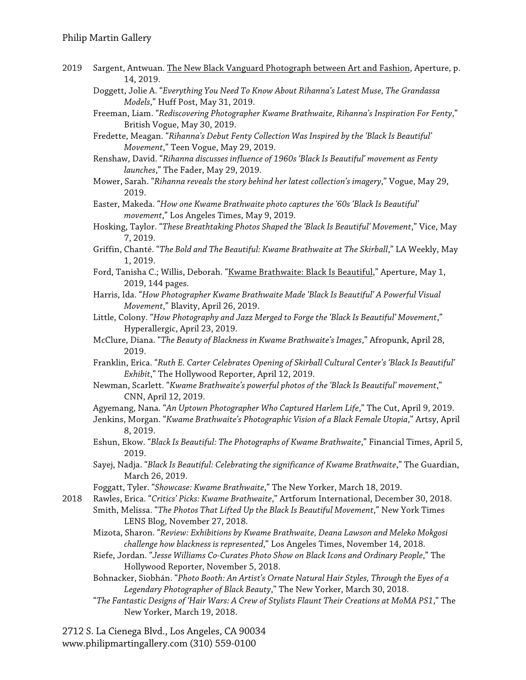- 2019 Sargent, Antwuan. The New Black Vanguard Photograph between Art and Fashion, Aperture, p. 14, 2019.
	- Doggett, Jolie A. "*Everything You Need To Know About Rihanna's Latest Muse, The Grandassa Models*," Huff Post, May 31, 2019.
	- Freeman, Liam. "*Rediscovering Photographer Kwame Brathwaite, Rihanna's Inspiration For Fenty*," British Vogue, May 30, 2019.
	- Fredette, Meagan. "*Rihanna's Debut Fenty Collection Was Inspired by the 'Black Is Beautiful' Movement*," Teen Vogue, May 29, 2019.
	- Renshaw, David. "*Rihanna discusses influence of 1960s 'Black Is Beautiful' movement as Fenty launches*," The Fader, May 29, 2019.
	- Mower, Sarah. "*Rihanna reveals the story behind her latest collection's imagery*," Vogue, May 29, 2019.
	- Easter, Makeda. "*How one Kwame Brathwaite photo captures the '60s 'Black Is Beautiful' movement*," Los Angeles Times, May 9, 2019.
	- Hosking, Taylor. "*These Breathtaking Photos Shaped the 'Black Is Beautiful' Movement*," Vice, May 7, 2019.
	- Griffin, Chanté. "*The Bold and The Beautiful: Kwame Brathwaite at The Skirball*," LA Weekly, May 1, 2019.
	- Ford, Tanisha C.; Willis, Deborah. "Kwame Brathwaite: Black Is Beautiful," Aperture, May 1, 2019, 144 pages.
	- Harris, Ida. "*How Photographer Kwame Brathwaite Made 'Black Is Beautiful' A Powerful Visual Movement*," Blavity, April 26, 2019.
	- Little, Colony. "*How Photography and Jazz Merged to Forge the 'Black Is Beautiful' Movement*," Hyperallergic, April 23, 2019.
	- McClure, Diana. "*The Beauty of Blackness in Kwame Brathwaite's Images*," Afropunk, April 28, 2019.
	- Franklin, Erica. "*Ruth E. Carter Celebrates Opening of Skirball Cultural Center's 'Black Is Beautiful' Exhibit*," The Hollywood Reporter, April 12, 2019.
	- Newman, Scarlett. "*Kwame Brathwaite's powerful photos of the 'Black Is Beautiful' movement*," CNN, April 12, 2019.
	- Agyemang, Nana. "*An Uptown Photographer Who Captured Harlem Life*," The Cut, April 9, 2019.
	- Jenkins, Morgan. "*Kwame Brathwaite's Photographic Vision of a Black Female Utopia*," Artsy, April 8, 2019.
	- Eshun, Ekow. "*Black Is Beautiful: The Photographs of Kwame Brathwaite*," Financial Times, April 5, 2019.
	- Sayej, Nadja. "*Black Is Beautiful: Celebrating the significance of Kwame Brathwaite*," The Guardian, March 26, 2019.
	- Foggatt, Tyler. "*Showcase: Kwame Brathwaite*," The New Yorker, March 18, 2019.

2018 Rawles, Erica. "*Critics' Picks: Kwame Brathwaite*," Artforum International, December 30, 2018.

- Smith, Melissa. "*The Photos That Lifted Up the Black Is Beautiful Movement*," New York Times LENS Blog, November 27, 2018.
- Mizota, Sharon. "*Review: Exhibitions by Kwame Brathwaite, Deana Lawson and Meleko Mokgosi challenge how blackness is represented*," Los Angeles Times, November 14, 2018.
- Riefe, Jordan. "*Jesse Williams Co-Curates Photo Show on Black Icons and Ordinary People*," The Hollywood Reporter, November 5, 2018.
- Bohnacker, Siobhán. "*Photo Booth: An Artist's Ornate Natural Hair Styles, Through the Eyes of a Legendary Photographer of Black Beauty*," The New Yorker, March 30, 2018.
- "*The Fantastic Designs of 'Hair Wars: A Crew of Stylists Flaunt Their Creations at MoMA PS1*," The New Yorker, March 19, 2018.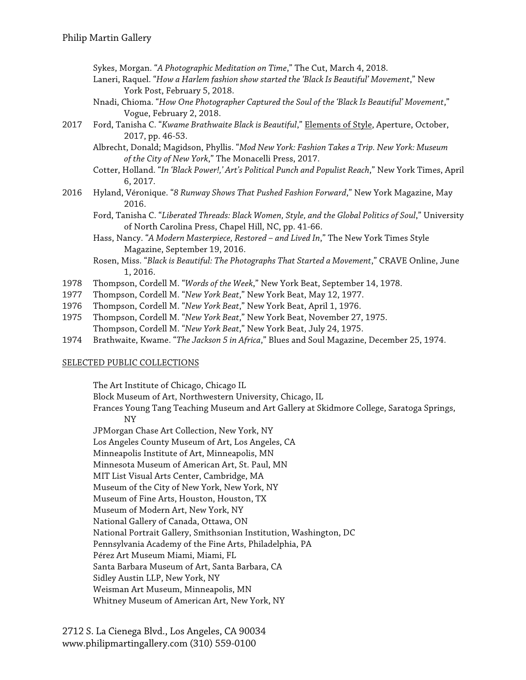- Sykes, Morgan. "*A Photographic Meditation on Time*," The Cut, March 4, 2018.
- Laneri, Raquel. "*How a Harlem fashion show started the 'Black Is Beautiful' Movement*," New York Post, February 5, 2018.
- Nnadi, Chioma. "*How One Photographer Captured the Soul of the 'Black Is Beautiful' Movement*," Vogue, February 2, 2018.
- 2017 Ford, Tanisha C. "*Kwame Brathwaite Black is Beautiful*," Elements of Style, Aperture, October, 2017, pp. 46-53.
	- Albrecht, Donald; Magidson, Phyllis. "*Mod New York: Fashion Takes a Trip. New York: Museum of the City of New York*," The Monacelli Press, 2017.
	- Cotter, Holland. "*In 'Black Power!,' Art's Political Punch and Populist Reach*," New York Times, April 6, 2017.
- 2016 Hyland, Véronique. "*8 Runway Shows That Pushed Fashion Forward*," New York Magazine, May 2016.
	- Ford, Tanisha C. "*Liberated Threads: Black Women, Style, and the Global Politics of Soul*," University of North Carolina Press, Chapel Hill, NC, pp. 41-66.
	- Hass, Nancy. "*A Modern Masterpiece, Restored – and Lived In*," The New York Times Style Magazine, September 19, 2016.
	- Rosen, Miss. "*Black is Beautiful: The Photographs That Started a Movement*," CRAVE Online, June 1, 2016.
- 1978 Thompson, Cordell M. "*Words of the Week*," New York Beat, September 14, 1978.
- 1977 Thompson, Cordell M. "*New York Beat*," New York Beat, May 12, 1977.
- 1976 Thompson, Cordell M. "*New York Beat*," New York Beat, April 1, 1976.
- 1975 Thompson, Cordell M. "*New York Beat*," New York Beat, November 27, 1975. Thompson, Cordell M. "*New York Beat*," New York Beat, July 24, 1975.
- 1974 Brathwaite, Kwame. "*The Jackson 5 in Africa*," Blues and Soul Magazine, December 25, 1974.

### SELECTED PUBLIC COLLECTIONS

The Art Institute of Chicago, Chicago IL Block Museum of Art, Northwestern University, Chicago, IL Frances Young Tang Teaching Museum and Art Gallery at Skidmore College, Saratoga Springs, NY JPMorgan Chase Art Collection, New York, NY Los Angeles County Museum of Art, Los Angeles, CA Minneapolis Institute of Art, Minneapolis, MN Minnesota Museum of American Art, St. Paul, MN MIT List Visual Arts Center, Cambridge, MA Museum of the City of New York, New York, NY Museum of Fine Arts, Houston, Houston, TX Museum of Modern Art, New York, NY National Gallery of Canada, Ottawa, ON National Portrait Gallery, Smithsonian Institution, Washington, DC Pennsylvania Academy of the Fine Arts, Philadelphia, PA Pérez Art Museum Miami, Miami, FL Santa Barbara Museum of Art, Santa Barbara, CA Sidley Austin LLP, New York, NY Weisman Art Museum, Minneapolis, MN Whitney Museum of American Art, New York, NY